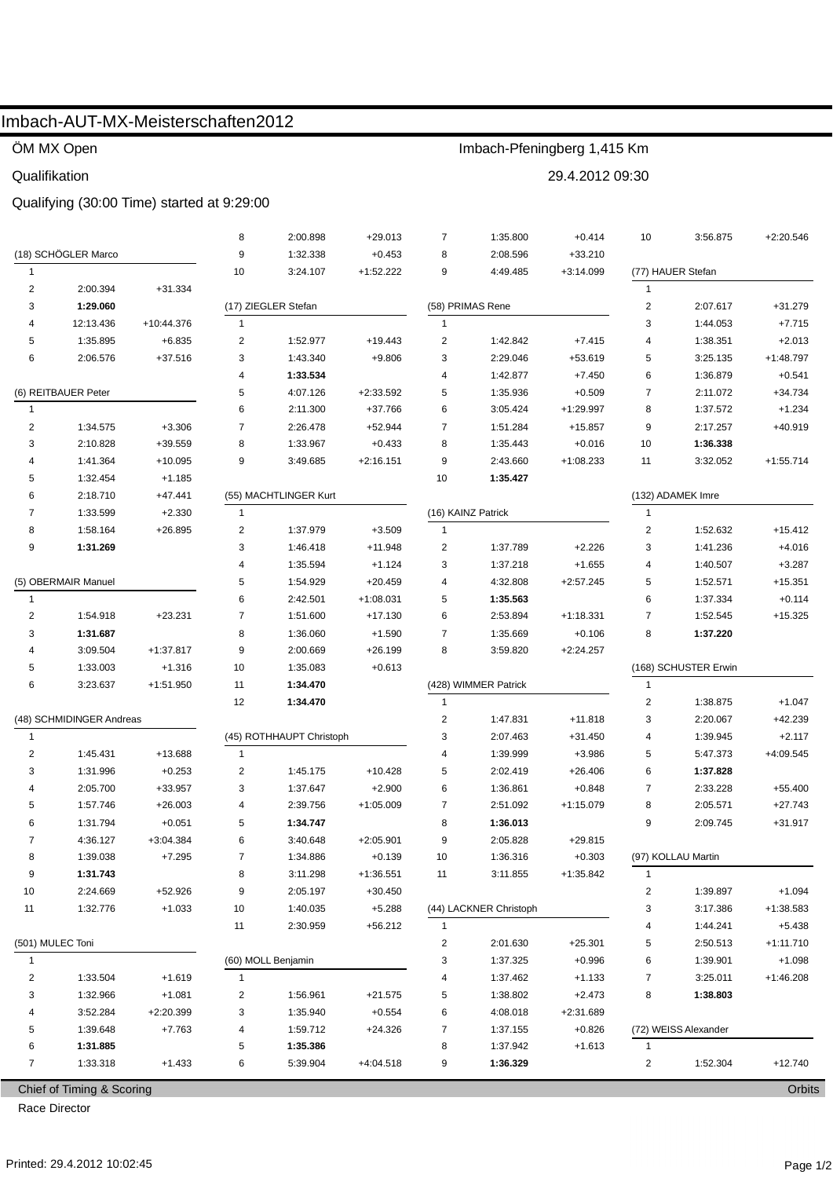## Imbach-AUT-MX-Meisterschaften2012

ÖM MX Open

Qualifikation

### Qualifying (30:00 Time) started at 9:29:00

| (18) SCHÖGLER Marco<br>9<br>1:32.338<br>$+0.453$<br>8<br>2:08.596<br>$+33.210$<br>$+1:52.222$<br>9<br>$\mathbf{1}$<br>10<br>3:24.107<br>4:49.485<br>$+3:14.099$<br>(77) HAUER Stefan<br>$\overline{\mathbf{c}}$<br>2:00.394<br>$+31.334$<br>$\mathbf{1}$<br>$\mathbf 2$<br>3<br>(17) ZIEGLER Stefan<br>(58) PRIMAS Rene<br>1:29.060<br>2:07.617<br>$+31.279$<br>3<br>12:13.436<br>+10:44.376<br>1<br>$\mathbf{1}$<br>1:44.053<br>$+7.715$<br>4<br>5<br>$\overline{c}$<br>$\overline{2}$<br>$+2.013$<br>1:35.895<br>$+6.835$<br>1:52.977<br>1:42.842<br>$+7.415$<br>4<br>1:38.351<br>$+19.443$<br>3<br>3<br>6<br>2:06.576<br>+37.516<br>1:43.340<br>$+9.806$<br>2:29.046<br>+53.619<br>5<br>3:25.135<br>$+1:48.797$<br>1:33.534<br>1:42.877<br>6<br>$+0.541$<br>4<br>4<br>$+7.450$<br>1:36.879<br>(6) REITBAUER Peter<br>5<br>4:07.126<br>5<br>$\overline{7}$<br>2:11.072<br>$+2:33.592$<br>1:35.936<br>$+0.509$<br>$+34.734$<br>6<br>+37.766<br>6<br>2:11.300<br>3:05.424<br>$+1:29.997$<br>8<br>1:37.572<br>$+1.234$<br>$\overline{1}$<br>$\overline{\mathbf{c}}$<br>$\overline{7}$<br>2:26.478<br>$+52.944$<br>2:17.257<br>$+40.919$<br>1:34.575<br>$+3.306$<br>7<br>1:51.284<br>$+15.857$<br>9<br>8<br>3<br>2:10.828<br>+39.559<br>1:33.967<br>$+0.433$<br>8<br>1:35.443<br>$+0.016$<br>10<br>1:36.338<br>1:41.364<br>$+10.095$<br>9<br>9<br>2:43.660<br>$+1:08.233$<br>3:32.052<br>3:49.685<br>$+2:16.151$<br>11<br>$+1:55.714$<br>4<br>5<br>1:32.454<br>$+1.185$<br>10<br>1:35.427<br>2:18.710<br>(132) ADAMEK Imre<br>6<br>$+47.441$<br>(55) MACHTLINGER Kurt<br>(16) KAINZ Patrick<br>$\mathbf{1}$<br>7<br>1:33.599<br>$+2.330$<br>1<br>$\overline{2}$<br>1:37.979<br>$\overline{2}$<br>1:52.632<br>8<br>1:58.164<br>$+26.895$<br>$+3.509$<br>$\mathbf{1}$<br>$+15.412$<br>9<br>3<br>$\overline{2}$<br>$+2.226$<br>1:41.236<br>$+4.016$<br>1:31.269<br>1:46.418<br>$+11.948$<br>1:37.789<br>3<br>3<br>$+3.287$<br>4<br>1:35.594<br>$+1.124$<br>1:37.218<br>$+1.655$<br>1:40.507<br>4<br>(5) OBERMAIR Manuel<br>5<br>1:54.929<br>$+20.459$<br>4<br>4:32.808<br>$+2:57.245$<br>5<br>1:52.571<br>$+15.351$<br>6<br>2:42.501<br>$+1:08.031$<br>5<br>1:35.563<br>6<br>1:37.334<br>$+0.114$<br>1<br>2<br>$\overline{7}$<br>6<br>1:54.918<br>$+23.231$<br>$+17.130$<br>2:53.894<br>$+1:18.331$<br>7<br>1:52.545<br>$+15.325$<br>1:51.600<br>8<br>8<br>3<br>1:31.687<br>$+1.590$<br>7<br>1:35.669<br>1:37.220<br>1:36.060<br>$+0.106$<br>9<br>8<br>3:09.504<br>$+1:37.817$<br>2:00.669<br>+26.199<br>$+2:24.257$<br>4<br>3:59.820<br>5<br>(168) SCHUSTER Erwin<br>1:33.003<br>$+1.316$<br>10<br>1:35.083<br>$+0.613$<br>6<br>(428) WIMMER Patrick<br>3:23.637<br>$+1:51.950$<br>11<br>$\mathbf{1}$<br>1:34.470<br>12<br>$\overline{c}$<br>1:34.470<br>$\mathbf{1}$<br>1:38.875<br>$+1.047$<br>(48) SCHMIDINGER Andreas<br>$\overline{2}$<br>3<br>2:20.067<br>$+42.239$<br>1:47.831<br>$+11.818$<br>(45) ROTHHAUPT Christoph<br>3<br>2:07.463<br>$+31.450$<br>1:39.945<br>$+2.117$<br>$\mathbf{1}$<br>4<br>2<br>1:45.431<br>+13.688<br>1:39.999<br>$+3.986$<br>5<br>5:47.373<br>$+4:09.545$<br>1<br>4<br>5<br>2:02.419<br>3<br>1:31.996<br>$+0.253$<br>2<br>1:45.175<br>$+10.428$<br>$+26.406$<br>6<br>1:37.828<br>2:05.700<br>$+2.900$<br>6<br>1:36.861<br>$\overline{7}$<br>+33.957<br>3<br>1:37.647<br>$+0.848$<br>2:33.228<br>$+55.400$<br>4<br>1:57.746<br>$+1:05.009$<br>$\overline{7}$<br>8<br>$+27.743$<br>5<br>$+26.003$<br>4<br>2:39.756<br>2:51.092<br>$+1:15.079$<br>2:05.571<br>1:31.794<br>$+0.051$<br>5<br>1:34.747<br>8<br>1:36.013<br>$+31.917$<br>6<br>9<br>2:09.745<br>6<br>$+2:05.901$<br>9<br>7<br>4:36.127<br>$+3:04.384$<br>3:40.648<br>2:05.828<br>$+29.815$<br>1:39.038<br>$+7.295$<br>1:34.886<br>$+0.139$<br>1:36.316<br>$+0.303$<br>(97) KOLLAU Martin<br>8<br>10<br>7<br>9<br>1:31.743<br>3:11.298<br>$+1:36.551$<br>$+1:35.842$<br>8<br>11<br>3:11.855<br>1<br>2:24.669<br>$+52.926$<br>$+30.450$<br>$+1.094$<br>10<br>9<br>2:05.197<br>2<br>1:39.897<br>$+1.033$<br>$+5.288$<br>(44) LACKNER Christoph<br>3:17.386<br>+1:38.583<br>1:32.776<br>10<br>1:40.035<br>3<br>11<br>$+5.438$<br>11<br>2:30.959<br>$+56.212$<br>$\mathbf{1}$<br>1:44.241<br>4<br>(501) MULEC Toni<br>$\overline{2}$<br>2:01.630<br>$+25.301$<br>5<br>2:50.513<br>$+1:11.710$<br>$+1.098$<br>(60) MOLL Benjamin<br>3<br>1:37.325<br>$+0.996$<br>6<br>1:39.901<br>1<br>2<br>1:33.504<br>$+1.619$<br>1:37.462<br>7<br>3:25.011<br>$+1:46.208$<br>$\mathbf{1}$<br>4<br>$+1.133$<br>3<br>1:32.966<br>$+1.081$<br>2<br>$+21.575$<br>5<br>1:38.802<br>$+2.473$<br>8<br>1:38.803<br>1:56.961<br>$+0.554$<br>3:52.284<br>+2:20.399<br>3<br>1:35.940<br>6<br>4:08.018<br>$+2:31.689$<br>4<br>$+24.326$<br>(72) WEISS Alexander<br>5<br>1:39.648<br>$+7.763$<br>4<br>1:59.712<br>7<br>1:37.155<br>$+0.826$<br>1:31.885<br>8<br>6<br>5<br>1:35.386<br>1:37.942<br>$+1.613$<br>1<br>$+4:04.518$<br>$+12.740$<br>7<br>1:33.318<br>$+1.433$<br>6<br>5:39.904<br>9<br>1:36.329<br>2<br>1:52.304<br>Chief of Timing & Scoring |  |  |  | 8 | 2:00.898 | $+29.013$ | $\overline{7}$ | 1:35.800 | $+0.414$ | 10 | 3:56.875 | $+2:20.546$ |  |
|------------------------------------------------------------------------------------------------------------------------------------------------------------------------------------------------------------------------------------------------------------------------------------------------------------------------------------------------------------------------------------------------------------------------------------------------------------------------------------------------------------------------------------------------------------------------------------------------------------------------------------------------------------------------------------------------------------------------------------------------------------------------------------------------------------------------------------------------------------------------------------------------------------------------------------------------------------------------------------------------------------------------------------------------------------------------------------------------------------------------------------------------------------------------------------------------------------------------------------------------------------------------------------------------------------------------------------------------------------------------------------------------------------------------------------------------------------------------------------------------------------------------------------------------------------------------------------------------------------------------------------------------------------------------------------------------------------------------------------------------------------------------------------------------------------------------------------------------------------------------------------------------------------------------------------------------------------------------------------------------------------------------------------------------------------------------------------------------------------------------------------------------------------------------------------------------------------------------------------------------------------------------------------------------------------------------------------------------------------------------------------------------------------------------------------------------------------------------------------------------------------------------------------------------------------------------------------------------------------------------------------------------------------------------------------------------------------------------------------------------------------------------------------------------------------------------------------------------------------------------------------------------------------------------------------------------------------------------------------------------------------------------------------------------------------------------------------------------------------------------------------------------------------------------------------------------------------------------------------------------------------------------------------------------------------------------------------------------------------------------------------------------------------------------------------------------------------------------------------------------------------------------------------------------------------------------------------------------------------------------------------------------------------------------------------------------------------------------------------------------------------------------------------------------------------------------------------------------------------------------------------------------------------------------------------------------------------------------------------------------------------------------------------------------------------------------------------------------------------------------------------------------------------------------------------------------------------------------------------------------------------------------------------------------------------------------------------------------------------------------------------------------------------------------------------------------------------------------------------------------------------------------------------------------------------------------------------------------------------------------------------------------------------------------------------------------------------------------------------------------------------------------------------------------------------------------------------------------------------------------------------------------------------------------------------------------------------------------------------------------------------------|--|--|--|---|----------|-----------|----------------|----------|----------|----|----------|-------------|--|
|                                                                                                                                                                                                                                                                                                                                                                                                                                                                                                                                                                                                                                                                                                                                                                                                                                                                                                                                                                                                                                                                                                                                                                                                                                                                                                                                                                                                                                                                                                                                                                                                                                                                                                                                                                                                                                                                                                                                                                                                                                                                                                                                                                                                                                                                                                                                                                                                                                                                                                                                                                                                                                                                                                                                                                                                                                                                                                                                                                                                                                                                                                                                                                                                                                                                                                                                                                                                                                                                                                                                                                                                                                                                                                                                                                                                                                                                                                                                                                                                                                                                                                                                                                                                                                                                                                                                                                                                                                                                                                                                                                                                                                                                                                                                                                                                                                                                                                                                                                                                                  |  |  |  |   |          |           |                |          |          |    |          |             |  |
|                                                                                                                                                                                                                                                                                                                                                                                                                                                                                                                                                                                                                                                                                                                                                                                                                                                                                                                                                                                                                                                                                                                                                                                                                                                                                                                                                                                                                                                                                                                                                                                                                                                                                                                                                                                                                                                                                                                                                                                                                                                                                                                                                                                                                                                                                                                                                                                                                                                                                                                                                                                                                                                                                                                                                                                                                                                                                                                                                                                                                                                                                                                                                                                                                                                                                                                                                                                                                                                                                                                                                                                                                                                                                                                                                                                                                                                                                                                                                                                                                                                                                                                                                                                                                                                                                                                                                                                                                                                                                                                                                                                                                                                                                                                                                                                                                                                                                                                                                                                                                  |  |  |  |   |          |           |                |          |          |    |          |             |  |
|                                                                                                                                                                                                                                                                                                                                                                                                                                                                                                                                                                                                                                                                                                                                                                                                                                                                                                                                                                                                                                                                                                                                                                                                                                                                                                                                                                                                                                                                                                                                                                                                                                                                                                                                                                                                                                                                                                                                                                                                                                                                                                                                                                                                                                                                                                                                                                                                                                                                                                                                                                                                                                                                                                                                                                                                                                                                                                                                                                                                                                                                                                                                                                                                                                                                                                                                                                                                                                                                                                                                                                                                                                                                                                                                                                                                                                                                                                                                                                                                                                                                                                                                                                                                                                                                                                                                                                                                                                                                                                                                                                                                                                                                                                                                                                                                                                                                                                                                                                                                                  |  |  |  |   |          |           |                |          |          |    |          |             |  |
|                                                                                                                                                                                                                                                                                                                                                                                                                                                                                                                                                                                                                                                                                                                                                                                                                                                                                                                                                                                                                                                                                                                                                                                                                                                                                                                                                                                                                                                                                                                                                                                                                                                                                                                                                                                                                                                                                                                                                                                                                                                                                                                                                                                                                                                                                                                                                                                                                                                                                                                                                                                                                                                                                                                                                                                                                                                                                                                                                                                                                                                                                                                                                                                                                                                                                                                                                                                                                                                                                                                                                                                                                                                                                                                                                                                                                                                                                                                                                                                                                                                                                                                                                                                                                                                                                                                                                                                                                                                                                                                                                                                                                                                                                                                                                                                                                                                                                                                                                                                                                  |  |  |  |   |          |           |                |          |          |    |          |             |  |
|                                                                                                                                                                                                                                                                                                                                                                                                                                                                                                                                                                                                                                                                                                                                                                                                                                                                                                                                                                                                                                                                                                                                                                                                                                                                                                                                                                                                                                                                                                                                                                                                                                                                                                                                                                                                                                                                                                                                                                                                                                                                                                                                                                                                                                                                                                                                                                                                                                                                                                                                                                                                                                                                                                                                                                                                                                                                                                                                                                                                                                                                                                                                                                                                                                                                                                                                                                                                                                                                                                                                                                                                                                                                                                                                                                                                                                                                                                                                                                                                                                                                                                                                                                                                                                                                                                                                                                                                                                                                                                                                                                                                                                                                                                                                                                                                                                                                                                                                                                                                                  |  |  |  |   |          |           |                |          |          |    |          |             |  |
|                                                                                                                                                                                                                                                                                                                                                                                                                                                                                                                                                                                                                                                                                                                                                                                                                                                                                                                                                                                                                                                                                                                                                                                                                                                                                                                                                                                                                                                                                                                                                                                                                                                                                                                                                                                                                                                                                                                                                                                                                                                                                                                                                                                                                                                                                                                                                                                                                                                                                                                                                                                                                                                                                                                                                                                                                                                                                                                                                                                                                                                                                                                                                                                                                                                                                                                                                                                                                                                                                                                                                                                                                                                                                                                                                                                                                                                                                                                                                                                                                                                                                                                                                                                                                                                                                                                                                                                                                                                                                                                                                                                                                                                                                                                                                                                                                                                                                                                                                                                                                  |  |  |  |   |          |           |                |          |          |    |          |             |  |
|                                                                                                                                                                                                                                                                                                                                                                                                                                                                                                                                                                                                                                                                                                                                                                                                                                                                                                                                                                                                                                                                                                                                                                                                                                                                                                                                                                                                                                                                                                                                                                                                                                                                                                                                                                                                                                                                                                                                                                                                                                                                                                                                                                                                                                                                                                                                                                                                                                                                                                                                                                                                                                                                                                                                                                                                                                                                                                                                                                                                                                                                                                                                                                                                                                                                                                                                                                                                                                                                                                                                                                                                                                                                                                                                                                                                                                                                                                                                                                                                                                                                                                                                                                                                                                                                                                                                                                                                                                                                                                                                                                                                                                                                                                                                                                                                                                                                                                                                                                                                                  |  |  |  |   |          |           |                |          |          |    |          |             |  |
|                                                                                                                                                                                                                                                                                                                                                                                                                                                                                                                                                                                                                                                                                                                                                                                                                                                                                                                                                                                                                                                                                                                                                                                                                                                                                                                                                                                                                                                                                                                                                                                                                                                                                                                                                                                                                                                                                                                                                                                                                                                                                                                                                                                                                                                                                                                                                                                                                                                                                                                                                                                                                                                                                                                                                                                                                                                                                                                                                                                                                                                                                                                                                                                                                                                                                                                                                                                                                                                                                                                                                                                                                                                                                                                                                                                                                                                                                                                                                                                                                                                                                                                                                                                                                                                                                                                                                                                                                                                                                                                                                                                                                                                                                                                                                                                                                                                                                                                                                                                                                  |  |  |  |   |          |           |                |          |          |    |          |             |  |
|                                                                                                                                                                                                                                                                                                                                                                                                                                                                                                                                                                                                                                                                                                                                                                                                                                                                                                                                                                                                                                                                                                                                                                                                                                                                                                                                                                                                                                                                                                                                                                                                                                                                                                                                                                                                                                                                                                                                                                                                                                                                                                                                                                                                                                                                                                                                                                                                                                                                                                                                                                                                                                                                                                                                                                                                                                                                                                                                                                                                                                                                                                                                                                                                                                                                                                                                                                                                                                                                                                                                                                                                                                                                                                                                                                                                                                                                                                                                                                                                                                                                                                                                                                                                                                                                                                                                                                                                                                                                                                                                                                                                                                                                                                                                                                                                                                                                                                                                                                                                                  |  |  |  |   |          |           |                |          |          |    |          |             |  |
|                                                                                                                                                                                                                                                                                                                                                                                                                                                                                                                                                                                                                                                                                                                                                                                                                                                                                                                                                                                                                                                                                                                                                                                                                                                                                                                                                                                                                                                                                                                                                                                                                                                                                                                                                                                                                                                                                                                                                                                                                                                                                                                                                                                                                                                                                                                                                                                                                                                                                                                                                                                                                                                                                                                                                                                                                                                                                                                                                                                                                                                                                                                                                                                                                                                                                                                                                                                                                                                                                                                                                                                                                                                                                                                                                                                                                                                                                                                                                                                                                                                                                                                                                                                                                                                                                                                                                                                                                                                                                                                                                                                                                                                                                                                                                                                                                                                                                                                                                                                                                  |  |  |  |   |          |           |                |          |          |    |          |             |  |
|                                                                                                                                                                                                                                                                                                                                                                                                                                                                                                                                                                                                                                                                                                                                                                                                                                                                                                                                                                                                                                                                                                                                                                                                                                                                                                                                                                                                                                                                                                                                                                                                                                                                                                                                                                                                                                                                                                                                                                                                                                                                                                                                                                                                                                                                                                                                                                                                                                                                                                                                                                                                                                                                                                                                                                                                                                                                                                                                                                                                                                                                                                                                                                                                                                                                                                                                                                                                                                                                                                                                                                                                                                                                                                                                                                                                                                                                                                                                                                                                                                                                                                                                                                                                                                                                                                                                                                                                                                                                                                                                                                                                                                                                                                                                                                                                                                                                                                                                                                                                                  |  |  |  |   |          |           |                |          |          |    |          |             |  |
|                                                                                                                                                                                                                                                                                                                                                                                                                                                                                                                                                                                                                                                                                                                                                                                                                                                                                                                                                                                                                                                                                                                                                                                                                                                                                                                                                                                                                                                                                                                                                                                                                                                                                                                                                                                                                                                                                                                                                                                                                                                                                                                                                                                                                                                                                                                                                                                                                                                                                                                                                                                                                                                                                                                                                                                                                                                                                                                                                                                                                                                                                                                                                                                                                                                                                                                                                                                                                                                                                                                                                                                                                                                                                                                                                                                                                                                                                                                                                                                                                                                                                                                                                                                                                                                                                                                                                                                                                                                                                                                                                                                                                                                                                                                                                                                                                                                                                                                                                                                                                  |  |  |  |   |          |           |                |          |          |    |          |             |  |
|                                                                                                                                                                                                                                                                                                                                                                                                                                                                                                                                                                                                                                                                                                                                                                                                                                                                                                                                                                                                                                                                                                                                                                                                                                                                                                                                                                                                                                                                                                                                                                                                                                                                                                                                                                                                                                                                                                                                                                                                                                                                                                                                                                                                                                                                                                                                                                                                                                                                                                                                                                                                                                                                                                                                                                                                                                                                                                                                                                                                                                                                                                                                                                                                                                                                                                                                                                                                                                                                                                                                                                                                                                                                                                                                                                                                                                                                                                                                                                                                                                                                                                                                                                                                                                                                                                                                                                                                                                                                                                                                                                                                                                                                                                                                                                                                                                                                                                                                                                                                                  |  |  |  |   |          |           |                |          |          |    |          |             |  |
|                                                                                                                                                                                                                                                                                                                                                                                                                                                                                                                                                                                                                                                                                                                                                                                                                                                                                                                                                                                                                                                                                                                                                                                                                                                                                                                                                                                                                                                                                                                                                                                                                                                                                                                                                                                                                                                                                                                                                                                                                                                                                                                                                                                                                                                                                                                                                                                                                                                                                                                                                                                                                                                                                                                                                                                                                                                                                                                                                                                                                                                                                                                                                                                                                                                                                                                                                                                                                                                                                                                                                                                                                                                                                                                                                                                                                                                                                                                                                                                                                                                                                                                                                                                                                                                                                                                                                                                                                                                                                                                                                                                                                                                                                                                                                                                                                                                                                                                                                                                                                  |  |  |  |   |          |           |                |          |          |    |          |             |  |
|                                                                                                                                                                                                                                                                                                                                                                                                                                                                                                                                                                                                                                                                                                                                                                                                                                                                                                                                                                                                                                                                                                                                                                                                                                                                                                                                                                                                                                                                                                                                                                                                                                                                                                                                                                                                                                                                                                                                                                                                                                                                                                                                                                                                                                                                                                                                                                                                                                                                                                                                                                                                                                                                                                                                                                                                                                                                                                                                                                                                                                                                                                                                                                                                                                                                                                                                                                                                                                                                                                                                                                                                                                                                                                                                                                                                                                                                                                                                                                                                                                                                                                                                                                                                                                                                                                                                                                                                                                                                                                                                                                                                                                                                                                                                                                                                                                                                                                                                                                                                                  |  |  |  |   |          |           |                |          |          |    |          |             |  |
|                                                                                                                                                                                                                                                                                                                                                                                                                                                                                                                                                                                                                                                                                                                                                                                                                                                                                                                                                                                                                                                                                                                                                                                                                                                                                                                                                                                                                                                                                                                                                                                                                                                                                                                                                                                                                                                                                                                                                                                                                                                                                                                                                                                                                                                                                                                                                                                                                                                                                                                                                                                                                                                                                                                                                                                                                                                                                                                                                                                                                                                                                                                                                                                                                                                                                                                                                                                                                                                                                                                                                                                                                                                                                                                                                                                                                                                                                                                                                                                                                                                                                                                                                                                                                                                                                                                                                                                                                                                                                                                                                                                                                                                                                                                                                                                                                                                                                                                                                                                                                  |  |  |  |   |          |           |                |          |          |    |          |             |  |
|                                                                                                                                                                                                                                                                                                                                                                                                                                                                                                                                                                                                                                                                                                                                                                                                                                                                                                                                                                                                                                                                                                                                                                                                                                                                                                                                                                                                                                                                                                                                                                                                                                                                                                                                                                                                                                                                                                                                                                                                                                                                                                                                                                                                                                                                                                                                                                                                                                                                                                                                                                                                                                                                                                                                                                                                                                                                                                                                                                                                                                                                                                                                                                                                                                                                                                                                                                                                                                                                                                                                                                                                                                                                                                                                                                                                                                                                                                                                                                                                                                                                                                                                                                                                                                                                                                                                                                                                                                                                                                                                                                                                                                                                                                                                                                                                                                                                                                                                                                                                                  |  |  |  |   |          |           |                |          |          |    |          |             |  |
|                                                                                                                                                                                                                                                                                                                                                                                                                                                                                                                                                                                                                                                                                                                                                                                                                                                                                                                                                                                                                                                                                                                                                                                                                                                                                                                                                                                                                                                                                                                                                                                                                                                                                                                                                                                                                                                                                                                                                                                                                                                                                                                                                                                                                                                                                                                                                                                                                                                                                                                                                                                                                                                                                                                                                                                                                                                                                                                                                                                                                                                                                                                                                                                                                                                                                                                                                                                                                                                                                                                                                                                                                                                                                                                                                                                                                                                                                                                                                                                                                                                                                                                                                                                                                                                                                                                                                                                                                                                                                                                                                                                                                                                                                                                                                                                                                                                                                                                                                                                                                  |  |  |  |   |          |           |                |          |          |    |          |             |  |
|                                                                                                                                                                                                                                                                                                                                                                                                                                                                                                                                                                                                                                                                                                                                                                                                                                                                                                                                                                                                                                                                                                                                                                                                                                                                                                                                                                                                                                                                                                                                                                                                                                                                                                                                                                                                                                                                                                                                                                                                                                                                                                                                                                                                                                                                                                                                                                                                                                                                                                                                                                                                                                                                                                                                                                                                                                                                                                                                                                                                                                                                                                                                                                                                                                                                                                                                                                                                                                                                                                                                                                                                                                                                                                                                                                                                                                                                                                                                                                                                                                                                                                                                                                                                                                                                                                                                                                                                                                                                                                                                                                                                                                                                                                                                                                                                                                                                                                                                                                                                                  |  |  |  |   |          |           |                |          |          |    |          |             |  |
|                                                                                                                                                                                                                                                                                                                                                                                                                                                                                                                                                                                                                                                                                                                                                                                                                                                                                                                                                                                                                                                                                                                                                                                                                                                                                                                                                                                                                                                                                                                                                                                                                                                                                                                                                                                                                                                                                                                                                                                                                                                                                                                                                                                                                                                                                                                                                                                                                                                                                                                                                                                                                                                                                                                                                                                                                                                                                                                                                                                                                                                                                                                                                                                                                                                                                                                                                                                                                                                                                                                                                                                                                                                                                                                                                                                                                                                                                                                                                                                                                                                                                                                                                                                                                                                                                                                                                                                                                                                                                                                                                                                                                                                                                                                                                                                                                                                                                                                                                                                                                  |  |  |  |   |          |           |                |          |          |    |          |             |  |
|                                                                                                                                                                                                                                                                                                                                                                                                                                                                                                                                                                                                                                                                                                                                                                                                                                                                                                                                                                                                                                                                                                                                                                                                                                                                                                                                                                                                                                                                                                                                                                                                                                                                                                                                                                                                                                                                                                                                                                                                                                                                                                                                                                                                                                                                                                                                                                                                                                                                                                                                                                                                                                                                                                                                                                                                                                                                                                                                                                                                                                                                                                                                                                                                                                                                                                                                                                                                                                                                                                                                                                                                                                                                                                                                                                                                                                                                                                                                                                                                                                                                                                                                                                                                                                                                                                                                                                                                                                                                                                                                                                                                                                                                                                                                                                                                                                                                                                                                                                                                                  |  |  |  |   |          |           |                |          |          |    |          |             |  |
|                                                                                                                                                                                                                                                                                                                                                                                                                                                                                                                                                                                                                                                                                                                                                                                                                                                                                                                                                                                                                                                                                                                                                                                                                                                                                                                                                                                                                                                                                                                                                                                                                                                                                                                                                                                                                                                                                                                                                                                                                                                                                                                                                                                                                                                                                                                                                                                                                                                                                                                                                                                                                                                                                                                                                                                                                                                                                                                                                                                                                                                                                                                                                                                                                                                                                                                                                                                                                                                                                                                                                                                                                                                                                                                                                                                                                                                                                                                                                                                                                                                                                                                                                                                                                                                                                                                                                                                                                                                                                                                                                                                                                                                                                                                                                                                                                                                                                                                                                                                                                  |  |  |  |   |          |           |                |          |          |    |          |             |  |
|                                                                                                                                                                                                                                                                                                                                                                                                                                                                                                                                                                                                                                                                                                                                                                                                                                                                                                                                                                                                                                                                                                                                                                                                                                                                                                                                                                                                                                                                                                                                                                                                                                                                                                                                                                                                                                                                                                                                                                                                                                                                                                                                                                                                                                                                                                                                                                                                                                                                                                                                                                                                                                                                                                                                                                                                                                                                                                                                                                                                                                                                                                                                                                                                                                                                                                                                                                                                                                                                                                                                                                                                                                                                                                                                                                                                                                                                                                                                                                                                                                                                                                                                                                                                                                                                                                                                                                                                                                                                                                                                                                                                                                                                                                                                                                                                                                                                                                                                                                                                                  |  |  |  |   |          |           |                |          |          |    |          |             |  |
|                                                                                                                                                                                                                                                                                                                                                                                                                                                                                                                                                                                                                                                                                                                                                                                                                                                                                                                                                                                                                                                                                                                                                                                                                                                                                                                                                                                                                                                                                                                                                                                                                                                                                                                                                                                                                                                                                                                                                                                                                                                                                                                                                                                                                                                                                                                                                                                                                                                                                                                                                                                                                                                                                                                                                                                                                                                                                                                                                                                                                                                                                                                                                                                                                                                                                                                                                                                                                                                                                                                                                                                                                                                                                                                                                                                                                                                                                                                                                                                                                                                                                                                                                                                                                                                                                                                                                                                                                                                                                                                                                                                                                                                                                                                                                                                                                                                                                                                                                                                                                  |  |  |  |   |          |           |                |          |          |    |          |             |  |
|                                                                                                                                                                                                                                                                                                                                                                                                                                                                                                                                                                                                                                                                                                                                                                                                                                                                                                                                                                                                                                                                                                                                                                                                                                                                                                                                                                                                                                                                                                                                                                                                                                                                                                                                                                                                                                                                                                                                                                                                                                                                                                                                                                                                                                                                                                                                                                                                                                                                                                                                                                                                                                                                                                                                                                                                                                                                                                                                                                                                                                                                                                                                                                                                                                                                                                                                                                                                                                                                                                                                                                                                                                                                                                                                                                                                                                                                                                                                                                                                                                                                                                                                                                                                                                                                                                                                                                                                                                                                                                                                                                                                                                                                                                                                                                                                                                                                                                                                                                                                                  |  |  |  |   |          |           |                |          |          |    |          |             |  |
|                                                                                                                                                                                                                                                                                                                                                                                                                                                                                                                                                                                                                                                                                                                                                                                                                                                                                                                                                                                                                                                                                                                                                                                                                                                                                                                                                                                                                                                                                                                                                                                                                                                                                                                                                                                                                                                                                                                                                                                                                                                                                                                                                                                                                                                                                                                                                                                                                                                                                                                                                                                                                                                                                                                                                                                                                                                                                                                                                                                                                                                                                                                                                                                                                                                                                                                                                                                                                                                                                                                                                                                                                                                                                                                                                                                                                                                                                                                                                                                                                                                                                                                                                                                                                                                                                                                                                                                                                                                                                                                                                                                                                                                                                                                                                                                                                                                                                                                                                                                                                  |  |  |  |   |          |           |                |          |          |    |          |             |  |
|                                                                                                                                                                                                                                                                                                                                                                                                                                                                                                                                                                                                                                                                                                                                                                                                                                                                                                                                                                                                                                                                                                                                                                                                                                                                                                                                                                                                                                                                                                                                                                                                                                                                                                                                                                                                                                                                                                                                                                                                                                                                                                                                                                                                                                                                                                                                                                                                                                                                                                                                                                                                                                                                                                                                                                                                                                                                                                                                                                                                                                                                                                                                                                                                                                                                                                                                                                                                                                                                                                                                                                                                                                                                                                                                                                                                                                                                                                                                                                                                                                                                                                                                                                                                                                                                                                                                                                                                                                                                                                                                                                                                                                                                                                                                                                                                                                                                                                                                                                                                                  |  |  |  |   |          |           |                |          |          |    |          |             |  |
|                                                                                                                                                                                                                                                                                                                                                                                                                                                                                                                                                                                                                                                                                                                                                                                                                                                                                                                                                                                                                                                                                                                                                                                                                                                                                                                                                                                                                                                                                                                                                                                                                                                                                                                                                                                                                                                                                                                                                                                                                                                                                                                                                                                                                                                                                                                                                                                                                                                                                                                                                                                                                                                                                                                                                                                                                                                                                                                                                                                                                                                                                                                                                                                                                                                                                                                                                                                                                                                                                                                                                                                                                                                                                                                                                                                                                                                                                                                                                                                                                                                                                                                                                                                                                                                                                                                                                                                                                                                                                                                                                                                                                                                                                                                                                                                                                                                                                                                                                                                                                  |  |  |  |   |          |           |                |          |          |    |          |             |  |
|                                                                                                                                                                                                                                                                                                                                                                                                                                                                                                                                                                                                                                                                                                                                                                                                                                                                                                                                                                                                                                                                                                                                                                                                                                                                                                                                                                                                                                                                                                                                                                                                                                                                                                                                                                                                                                                                                                                                                                                                                                                                                                                                                                                                                                                                                                                                                                                                                                                                                                                                                                                                                                                                                                                                                                                                                                                                                                                                                                                                                                                                                                                                                                                                                                                                                                                                                                                                                                                                                                                                                                                                                                                                                                                                                                                                                                                                                                                                                                                                                                                                                                                                                                                                                                                                                                                                                                                                                                                                                                                                                                                                                                                                                                                                                                                                                                                                                                                                                                                                                  |  |  |  |   |          |           |                |          |          |    |          |             |  |
|                                                                                                                                                                                                                                                                                                                                                                                                                                                                                                                                                                                                                                                                                                                                                                                                                                                                                                                                                                                                                                                                                                                                                                                                                                                                                                                                                                                                                                                                                                                                                                                                                                                                                                                                                                                                                                                                                                                                                                                                                                                                                                                                                                                                                                                                                                                                                                                                                                                                                                                                                                                                                                                                                                                                                                                                                                                                                                                                                                                                                                                                                                                                                                                                                                                                                                                                                                                                                                                                                                                                                                                                                                                                                                                                                                                                                                                                                                                                                                                                                                                                                                                                                                                                                                                                                                                                                                                                                                                                                                                                                                                                                                                                                                                                                                                                                                                                                                                                                                                                                  |  |  |  |   |          |           |                |          |          |    |          |             |  |
|                                                                                                                                                                                                                                                                                                                                                                                                                                                                                                                                                                                                                                                                                                                                                                                                                                                                                                                                                                                                                                                                                                                                                                                                                                                                                                                                                                                                                                                                                                                                                                                                                                                                                                                                                                                                                                                                                                                                                                                                                                                                                                                                                                                                                                                                                                                                                                                                                                                                                                                                                                                                                                                                                                                                                                                                                                                                                                                                                                                                                                                                                                                                                                                                                                                                                                                                                                                                                                                                                                                                                                                                                                                                                                                                                                                                                                                                                                                                                                                                                                                                                                                                                                                                                                                                                                                                                                                                                                                                                                                                                                                                                                                                                                                                                                                                                                                                                                                                                                                                                  |  |  |  |   |          |           |                |          |          |    |          |             |  |
|                                                                                                                                                                                                                                                                                                                                                                                                                                                                                                                                                                                                                                                                                                                                                                                                                                                                                                                                                                                                                                                                                                                                                                                                                                                                                                                                                                                                                                                                                                                                                                                                                                                                                                                                                                                                                                                                                                                                                                                                                                                                                                                                                                                                                                                                                                                                                                                                                                                                                                                                                                                                                                                                                                                                                                                                                                                                                                                                                                                                                                                                                                                                                                                                                                                                                                                                                                                                                                                                                                                                                                                                                                                                                                                                                                                                                                                                                                                                                                                                                                                                                                                                                                                                                                                                                                                                                                                                                                                                                                                                                                                                                                                                                                                                                                                                                                                                                                                                                                                                                  |  |  |  |   |          |           |                |          |          |    |          |             |  |
|                                                                                                                                                                                                                                                                                                                                                                                                                                                                                                                                                                                                                                                                                                                                                                                                                                                                                                                                                                                                                                                                                                                                                                                                                                                                                                                                                                                                                                                                                                                                                                                                                                                                                                                                                                                                                                                                                                                                                                                                                                                                                                                                                                                                                                                                                                                                                                                                                                                                                                                                                                                                                                                                                                                                                                                                                                                                                                                                                                                                                                                                                                                                                                                                                                                                                                                                                                                                                                                                                                                                                                                                                                                                                                                                                                                                                                                                                                                                                                                                                                                                                                                                                                                                                                                                                                                                                                                                                                                                                                                                                                                                                                                                                                                                                                                                                                                                                                                                                                                                                  |  |  |  |   |          |           |                |          |          |    |          |             |  |
|                                                                                                                                                                                                                                                                                                                                                                                                                                                                                                                                                                                                                                                                                                                                                                                                                                                                                                                                                                                                                                                                                                                                                                                                                                                                                                                                                                                                                                                                                                                                                                                                                                                                                                                                                                                                                                                                                                                                                                                                                                                                                                                                                                                                                                                                                                                                                                                                                                                                                                                                                                                                                                                                                                                                                                                                                                                                                                                                                                                                                                                                                                                                                                                                                                                                                                                                                                                                                                                                                                                                                                                                                                                                                                                                                                                                                                                                                                                                                                                                                                                                                                                                                                                                                                                                                                                                                                                                                                                                                                                                                                                                                                                                                                                                                                                                                                                                                                                                                                                                                  |  |  |  |   |          |           |                |          |          |    |          |             |  |
|                                                                                                                                                                                                                                                                                                                                                                                                                                                                                                                                                                                                                                                                                                                                                                                                                                                                                                                                                                                                                                                                                                                                                                                                                                                                                                                                                                                                                                                                                                                                                                                                                                                                                                                                                                                                                                                                                                                                                                                                                                                                                                                                                                                                                                                                                                                                                                                                                                                                                                                                                                                                                                                                                                                                                                                                                                                                                                                                                                                                                                                                                                                                                                                                                                                                                                                                                                                                                                                                                                                                                                                                                                                                                                                                                                                                                                                                                                                                                                                                                                                                                                                                                                                                                                                                                                                                                                                                                                                                                                                                                                                                                                                                                                                                                                                                                                                                                                                                                                                                                  |  |  |  |   |          |           |                |          |          |    |          |             |  |
|                                                                                                                                                                                                                                                                                                                                                                                                                                                                                                                                                                                                                                                                                                                                                                                                                                                                                                                                                                                                                                                                                                                                                                                                                                                                                                                                                                                                                                                                                                                                                                                                                                                                                                                                                                                                                                                                                                                                                                                                                                                                                                                                                                                                                                                                                                                                                                                                                                                                                                                                                                                                                                                                                                                                                                                                                                                                                                                                                                                                                                                                                                                                                                                                                                                                                                                                                                                                                                                                                                                                                                                                                                                                                                                                                                                                                                                                                                                                                                                                                                                                                                                                                                                                                                                                                                                                                                                                                                                                                                                                                                                                                                                                                                                                                                                                                                                                                                                                                                                                                  |  |  |  |   |          |           |                |          |          |    |          |             |  |
|                                                                                                                                                                                                                                                                                                                                                                                                                                                                                                                                                                                                                                                                                                                                                                                                                                                                                                                                                                                                                                                                                                                                                                                                                                                                                                                                                                                                                                                                                                                                                                                                                                                                                                                                                                                                                                                                                                                                                                                                                                                                                                                                                                                                                                                                                                                                                                                                                                                                                                                                                                                                                                                                                                                                                                                                                                                                                                                                                                                                                                                                                                                                                                                                                                                                                                                                                                                                                                                                                                                                                                                                                                                                                                                                                                                                                                                                                                                                                                                                                                                                                                                                                                                                                                                                                                                                                                                                                                                                                                                                                                                                                                                                                                                                                                                                                                                                                                                                                                                                                  |  |  |  |   |          |           |                |          |          |    |          |             |  |
|                                                                                                                                                                                                                                                                                                                                                                                                                                                                                                                                                                                                                                                                                                                                                                                                                                                                                                                                                                                                                                                                                                                                                                                                                                                                                                                                                                                                                                                                                                                                                                                                                                                                                                                                                                                                                                                                                                                                                                                                                                                                                                                                                                                                                                                                                                                                                                                                                                                                                                                                                                                                                                                                                                                                                                                                                                                                                                                                                                                                                                                                                                                                                                                                                                                                                                                                                                                                                                                                                                                                                                                                                                                                                                                                                                                                                                                                                                                                                                                                                                                                                                                                                                                                                                                                                                                                                                                                                                                                                                                                                                                                                                                                                                                                                                                                                                                                                                                                                                                                                  |  |  |  |   |          |           |                |          |          |    |          |             |  |
|                                                                                                                                                                                                                                                                                                                                                                                                                                                                                                                                                                                                                                                                                                                                                                                                                                                                                                                                                                                                                                                                                                                                                                                                                                                                                                                                                                                                                                                                                                                                                                                                                                                                                                                                                                                                                                                                                                                                                                                                                                                                                                                                                                                                                                                                                                                                                                                                                                                                                                                                                                                                                                                                                                                                                                                                                                                                                                                                                                                                                                                                                                                                                                                                                                                                                                                                                                                                                                                                                                                                                                                                                                                                                                                                                                                                                                                                                                                                                                                                                                                                                                                                                                                                                                                                                                                                                                                                                                                                                                                                                                                                                                                                                                                                                                                                                                                                                                                                                                                                                  |  |  |  |   |          |           |                |          |          |    |          |             |  |
|                                                                                                                                                                                                                                                                                                                                                                                                                                                                                                                                                                                                                                                                                                                                                                                                                                                                                                                                                                                                                                                                                                                                                                                                                                                                                                                                                                                                                                                                                                                                                                                                                                                                                                                                                                                                                                                                                                                                                                                                                                                                                                                                                                                                                                                                                                                                                                                                                                                                                                                                                                                                                                                                                                                                                                                                                                                                                                                                                                                                                                                                                                                                                                                                                                                                                                                                                                                                                                                                                                                                                                                                                                                                                                                                                                                                                                                                                                                                                                                                                                                                                                                                                                                                                                                                                                                                                                                                                                                                                                                                                                                                                                                                                                                                                                                                                                                                                                                                                                                                                  |  |  |  |   |          |           |                |          |          |    |          |             |  |
|                                                                                                                                                                                                                                                                                                                                                                                                                                                                                                                                                                                                                                                                                                                                                                                                                                                                                                                                                                                                                                                                                                                                                                                                                                                                                                                                                                                                                                                                                                                                                                                                                                                                                                                                                                                                                                                                                                                                                                                                                                                                                                                                                                                                                                                                                                                                                                                                                                                                                                                                                                                                                                                                                                                                                                                                                                                                                                                                                                                                                                                                                                                                                                                                                                                                                                                                                                                                                                                                                                                                                                                                                                                                                                                                                                                                                                                                                                                                                                                                                                                                                                                                                                                                                                                                                                                                                                                                                                                                                                                                                                                                                                                                                                                                                                                                                                                                                                                                                                                                                  |  |  |  |   |          |           |                |          |          |    |          |             |  |
|                                                                                                                                                                                                                                                                                                                                                                                                                                                                                                                                                                                                                                                                                                                                                                                                                                                                                                                                                                                                                                                                                                                                                                                                                                                                                                                                                                                                                                                                                                                                                                                                                                                                                                                                                                                                                                                                                                                                                                                                                                                                                                                                                                                                                                                                                                                                                                                                                                                                                                                                                                                                                                                                                                                                                                                                                                                                                                                                                                                                                                                                                                                                                                                                                                                                                                                                                                                                                                                                                                                                                                                                                                                                                                                                                                                                                                                                                                                                                                                                                                                                                                                                                                                                                                                                                                                                                                                                                                                                                                                                                                                                                                                                                                                                                                                                                                                                                                                                                                                                                  |  |  |  |   |          |           |                |          |          |    |          |             |  |
|                                                                                                                                                                                                                                                                                                                                                                                                                                                                                                                                                                                                                                                                                                                                                                                                                                                                                                                                                                                                                                                                                                                                                                                                                                                                                                                                                                                                                                                                                                                                                                                                                                                                                                                                                                                                                                                                                                                                                                                                                                                                                                                                                                                                                                                                                                                                                                                                                                                                                                                                                                                                                                                                                                                                                                                                                                                                                                                                                                                                                                                                                                                                                                                                                                                                                                                                                                                                                                                                                                                                                                                                                                                                                                                                                                                                                                                                                                                                                                                                                                                                                                                                                                                                                                                                                                                                                                                                                                                                                                                                                                                                                                                                                                                                                                                                                                                                                                                                                                                                                  |  |  |  |   |          |           |                |          |          |    |          |             |  |
|                                                                                                                                                                                                                                                                                                                                                                                                                                                                                                                                                                                                                                                                                                                                                                                                                                                                                                                                                                                                                                                                                                                                                                                                                                                                                                                                                                                                                                                                                                                                                                                                                                                                                                                                                                                                                                                                                                                                                                                                                                                                                                                                                                                                                                                                                                                                                                                                                                                                                                                                                                                                                                                                                                                                                                                                                                                                                                                                                                                                                                                                                                                                                                                                                                                                                                                                                                                                                                                                                                                                                                                                                                                                                                                                                                                                                                                                                                                                                                                                                                                                                                                                                                                                                                                                                                                                                                                                                                                                                                                                                                                                                                                                                                                                                                                                                                                                                                                                                                                                                  |  |  |  |   |          |           |                |          |          |    |          |             |  |
|                                                                                                                                                                                                                                                                                                                                                                                                                                                                                                                                                                                                                                                                                                                                                                                                                                                                                                                                                                                                                                                                                                                                                                                                                                                                                                                                                                                                                                                                                                                                                                                                                                                                                                                                                                                                                                                                                                                                                                                                                                                                                                                                                                                                                                                                                                                                                                                                                                                                                                                                                                                                                                                                                                                                                                                                                                                                                                                                                                                                                                                                                                                                                                                                                                                                                                                                                                                                                                                                                                                                                                                                                                                                                                                                                                                                                                                                                                                                                                                                                                                                                                                                                                                                                                                                                                                                                                                                                                                                                                                                                                                                                                                                                                                                                                                                                                                                                                                                                                                                                  |  |  |  |   |          |           |                |          |          |    |          |             |  |
|                                                                                                                                                                                                                                                                                                                                                                                                                                                                                                                                                                                                                                                                                                                                                                                                                                                                                                                                                                                                                                                                                                                                                                                                                                                                                                                                                                                                                                                                                                                                                                                                                                                                                                                                                                                                                                                                                                                                                                                                                                                                                                                                                                                                                                                                                                                                                                                                                                                                                                                                                                                                                                                                                                                                                                                                                                                                                                                                                                                                                                                                                                                                                                                                                                                                                                                                                                                                                                                                                                                                                                                                                                                                                                                                                                                                                                                                                                                                                                                                                                                                                                                                                                                                                                                                                                                                                                                                                                                                                                                                                                                                                                                                                                                                                                                                                                                                                                                                                                                                                  |  |  |  |   |          |           |                |          |          |    |          |             |  |
|                                                                                                                                                                                                                                                                                                                                                                                                                                                                                                                                                                                                                                                                                                                                                                                                                                                                                                                                                                                                                                                                                                                                                                                                                                                                                                                                                                                                                                                                                                                                                                                                                                                                                                                                                                                                                                                                                                                                                                                                                                                                                                                                                                                                                                                                                                                                                                                                                                                                                                                                                                                                                                                                                                                                                                                                                                                                                                                                                                                                                                                                                                                                                                                                                                                                                                                                                                                                                                                                                                                                                                                                                                                                                                                                                                                                                                                                                                                                                                                                                                                                                                                                                                                                                                                                                                                                                                                                                                                                                                                                                                                                                                                                                                                                                                                                                                                                                                                                                                                                                  |  |  |  |   |          |           |                |          |          |    |          |             |  |
|                                                                                                                                                                                                                                                                                                                                                                                                                                                                                                                                                                                                                                                                                                                                                                                                                                                                                                                                                                                                                                                                                                                                                                                                                                                                                                                                                                                                                                                                                                                                                                                                                                                                                                                                                                                                                                                                                                                                                                                                                                                                                                                                                                                                                                                                                                                                                                                                                                                                                                                                                                                                                                                                                                                                                                                                                                                                                                                                                                                                                                                                                                                                                                                                                                                                                                                                                                                                                                                                                                                                                                                                                                                                                                                                                                                                                                                                                                                                                                                                                                                                                                                                                                                                                                                                                                                                                                                                                                                                                                                                                                                                                                                                                                                                                                                                                                                                                                                                                                                                                  |  |  |  |   |          |           |                |          |          |    |          |             |  |
|                                                                                                                                                                                                                                                                                                                                                                                                                                                                                                                                                                                                                                                                                                                                                                                                                                                                                                                                                                                                                                                                                                                                                                                                                                                                                                                                                                                                                                                                                                                                                                                                                                                                                                                                                                                                                                                                                                                                                                                                                                                                                                                                                                                                                                                                                                                                                                                                                                                                                                                                                                                                                                                                                                                                                                                                                                                                                                                                                                                                                                                                                                                                                                                                                                                                                                                                                                                                                                                                                                                                                                                                                                                                                                                                                                                                                                                                                                                                                                                                                                                                                                                                                                                                                                                                                                                                                                                                                                                                                                                                                                                                                                                                                                                                                                                                                                                                                                                                                                                                                  |  |  |  |   |          |           |                |          |          |    |          | Orbits      |  |

Imbach-Pfeningberg 1,415 Km

29.4.2012 09:30

Chief of Timing & Scoring

Race Director